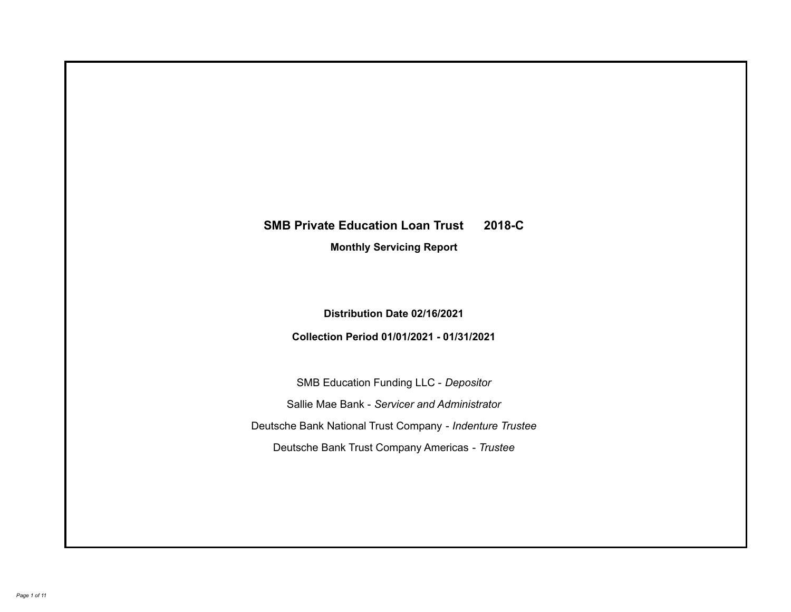# **SMB Private Education Loan Trust 2018-C**

**Monthly Servicing Report**

**Distribution Date 02/16/2021**

**Collection Period 01/01/2021 - 01/31/2021**

SMB Education Funding LLC - *Depositor* Sallie Mae Bank - *Servicer and Administrator* Deutsche Bank National Trust Company - *Indenture Trustee* Deutsche Bank Trust Company Americas - *Trustee*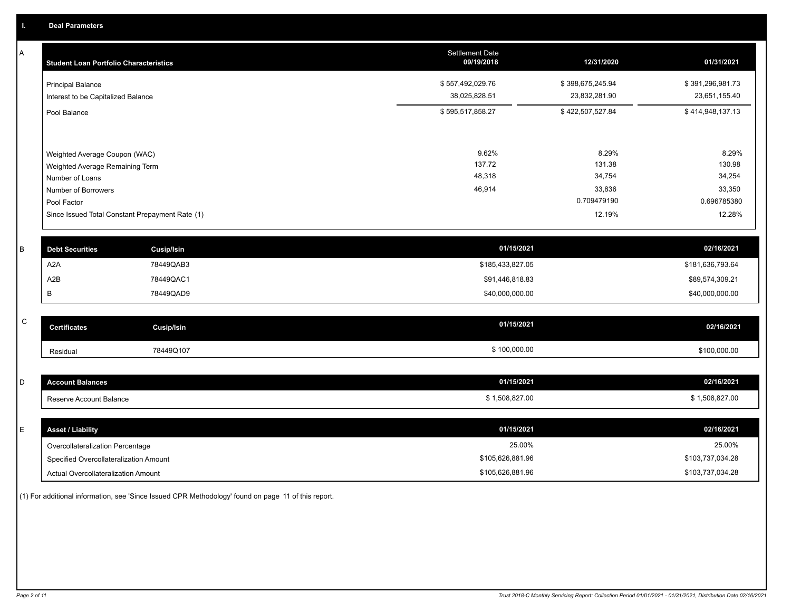A

| A         | <b>Student Loan Portfolio Characteristics</b>   |                   | <b>Settlement Date</b><br>09/19/2018 | 12/31/2020       | 01/31/2021       |
|-----------|-------------------------------------------------|-------------------|--------------------------------------|------------------|------------------|
|           | <b>Principal Balance</b>                        |                   | \$557,492,029.76                     | \$398,675,245.94 | \$391,296,981.73 |
|           | Interest to be Capitalized Balance              |                   | 38,025,828.51                        | 23,832,281.90    | 23,651,155.40    |
|           | Pool Balance                                    |                   | \$595,517,858.27                     | \$422,507,527.84 | \$414,948,137.13 |
|           |                                                 |                   |                                      |                  |                  |
|           | Weighted Average Coupon (WAC)                   |                   | 9.62%                                | 8.29%            | 8.29%            |
|           | Weighted Average Remaining Term                 |                   | 137.72<br>48,318                     | 131.38<br>34,754 | 130.98<br>34,254 |
|           | Number of Loans                                 |                   | 46,914                               | 33,836           | 33,350           |
|           | Number of Borrowers<br>Pool Factor              |                   |                                      | 0.709479190      | 0.696785380      |
|           | Since Issued Total Constant Prepayment Rate (1) |                   |                                      | 12.19%           | 12.28%           |
|           |                                                 |                   |                                      |                  |                  |
|           |                                                 |                   |                                      |                  |                  |
| B         | <b>Debt Securities</b>                          | <b>Cusip/Isin</b> | 01/15/2021                           |                  | 02/16/2021       |
|           | A <sub>2</sub> A                                | 78449QAB3         | \$185,433,827.05                     |                  | \$181,636,793.64 |
|           | A2B                                             | 78449QAC1         | \$91,446,818.83                      |                  | \$89,574,309.21  |
|           | В                                               | 78449QAD9         | \$40,000,000.00                      |                  | \$40,000,000.00  |
|           |                                                 |                   |                                      |                  |                  |
| ${\bf C}$ | <b>Certificates</b>                             | <b>Cusip/Isin</b> | 01/15/2021                           |                  | 02/16/2021       |
|           | Residual                                        | 78449Q107         | \$100,000.00                         |                  | \$100,000.00     |
|           |                                                 |                   |                                      |                  |                  |
| D         | <b>Account Balances</b>                         |                   | 01/15/2021                           |                  | 02/16/2021       |
|           | Reserve Account Balance                         |                   | \$1,508,827.00                       |                  | \$1,508,827.00   |
|           |                                                 |                   |                                      |                  |                  |
| E         | <b>Asset / Liability</b>                        |                   | 01/15/2021                           |                  | 02/16/2021       |
|           | Overcollateralization Percentage                |                   | 25.00%                               |                  | 25.00%           |

Specified Overcollateralization Amount

Actual Overcollateralization Amount \$105,626,881.96

(1) For additional information, see 'Since Issued CPR Methodology' found on page 11 of this report.

\$103,737,034.28 \$103,737,034.28

\$105,626,881.96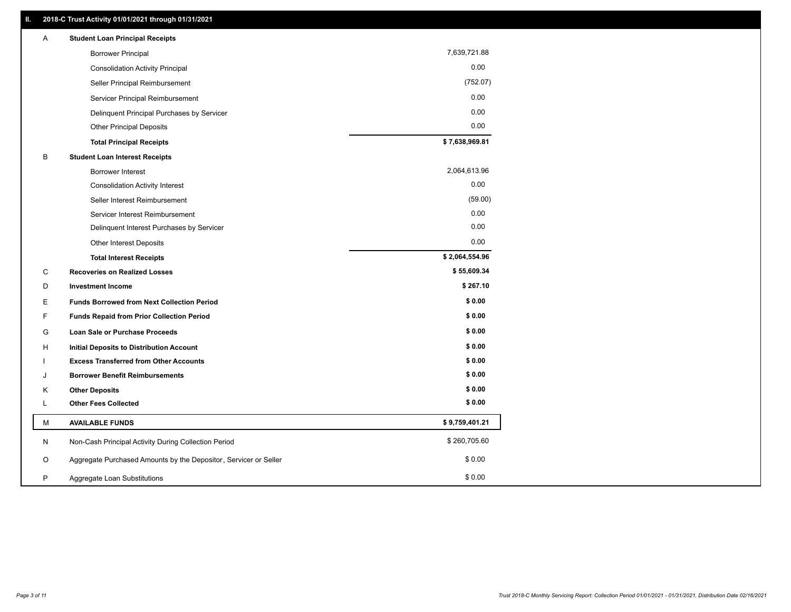| Α  | <b>Student Loan Principal Receipts</b>                           |                |
|----|------------------------------------------------------------------|----------------|
|    | <b>Borrower Principal</b>                                        | 7,639,721.88   |
|    | <b>Consolidation Activity Principal</b>                          | 0.00           |
|    | Seller Principal Reimbursement                                   | (752.07)       |
|    | Servicer Principal Reimbursement                                 | 0.00           |
|    | Delinquent Principal Purchases by Servicer                       | 0.00           |
|    | <b>Other Principal Deposits</b>                                  | 0.00           |
|    | <b>Total Principal Receipts</b>                                  | \$7,638,969.81 |
| B  | <b>Student Loan Interest Receipts</b>                            |                |
|    | <b>Borrower Interest</b>                                         | 2,064,613.96   |
|    | <b>Consolidation Activity Interest</b>                           | 0.00           |
|    | Seller Interest Reimbursement                                    | (59.00)        |
|    | Servicer Interest Reimbursement                                  | 0.00           |
|    | Delinquent Interest Purchases by Servicer                        | 0.00           |
|    | Other Interest Deposits                                          | 0.00           |
|    | <b>Total Interest Receipts</b>                                   | \$2,064,554.96 |
| С  | <b>Recoveries on Realized Losses</b>                             | \$55,609.34    |
| D  | <b>Investment Income</b>                                         | \$267.10       |
| E  | <b>Funds Borrowed from Next Collection Period</b>                | \$0.00         |
| F  | <b>Funds Repaid from Prior Collection Period</b>                 | \$0.00         |
| G  | <b>Loan Sale or Purchase Proceeds</b>                            | \$0.00         |
| H. | Initial Deposits to Distribution Account                         | \$0.00         |
|    | <b>Excess Transferred from Other Accounts</b>                    | \$0.00         |
| J  | <b>Borrower Benefit Reimbursements</b>                           | \$0.00         |
| Κ  | <b>Other Deposits</b>                                            | \$0.00         |
| Г  | <b>Other Fees Collected</b>                                      | \$0.00         |
| М  | <b>AVAILABLE FUNDS</b>                                           | \$9,759,401.21 |
| N  | Non-Cash Principal Activity During Collection Period             | \$260,705.60   |
| O  | Aggregate Purchased Amounts by the Depositor, Servicer or Seller | \$0.00         |
| P  | Aggregate Loan Substitutions                                     | \$0.00         |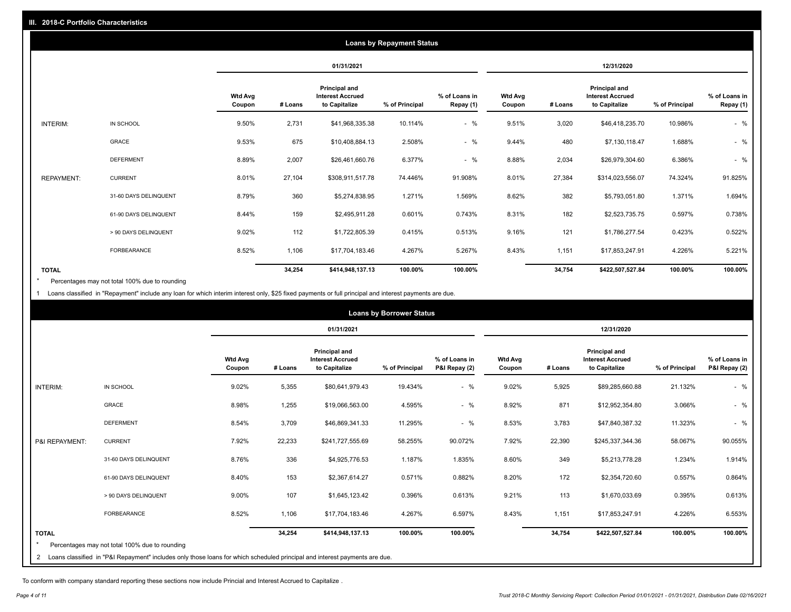|                   | <b>Loans by Repayment Status</b> |                          |            |                                                           |                |                            |                          |         |                                                           |                |                            |
|-------------------|----------------------------------|--------------------------|------------|-----------------------------------------------------------|----------------|----------------------------|--------------------------|---------|-----------------------------------------------------------|----------------|----------------------------|
|                   |                                  |                          | 01/31/2021 |                                                           |                | 12/31/2020                 |                          |         |                                                           |                |                            |
|                   |                                  | <b>Wtd Avg</b><br>Coupon | # Loans    | Principal and<br><b>Interest Accrued</b><br>to Capitalize | % of Principal | % of Loans in<br>Repay (1) | <b>Wtd Avg</b><br>Coupon | # Loans | Principal and<br><b>Interest Accrued</b><br>to Capitalize | % of Principal | % of Loans in<br>Repay (1) |
| INTERIM:          | IN SCHOOL                        | 9.50%                    | 2,731      | \$41,968,335.38                                           | 10.114%        | $-$ %                      | 9.51%                    | 3,020   | \$46,418,235.70                                           | 10.986%        | $-$ %                      |
|                   | GRACE                            | 9.53%                    | 675        | \$10,408,884.13                                           | 2.508%         | $-$ %                      | 9.44%                    | 480     | \$7,130,118.47                                            | 1.688%         | $-$ %                      |
|                   | <b>DEFERMENT</b>                 | 8.89%                    | 2,007      | \$26,461,660.76                                           | 6.377%         | $-$ %                      | 8.88%                    | 2,034   | \$26,979,304.60                                           | 6.386%         | $-$ %                      |
| <b>REPAYMENT:</b> | <b>CURRENT</b>                   | 8.01%                    | 27,104     | \$308,911,517.78                                          | 74.446%        | 91.908%                    | 8.01%                    | 27,384  | \$314,023,556.07                                          | 74.324%        | 91.825%                    |
|                   | 31-60 DAYS DELINQUENT            | 8.79%                    | 360        | \$5,274,838.95                                            | 1.271%         | 1.569%                     | 8.62%                    | 382     | \$5,793,051.80                                            | 1.371%         | 1.694%                     |
|                   | 61-90 DAYS DELINQUENT            | 8.44%                    | 159        | \$2,495,911.28                                            | 0.601%         | 0.743%                     | 8.31%                    | 182     | \$2,523,735.75                                            | 0.597%         | 0.738%                     |
|                   | > 90 DAYS DELINQUENT             | 9.02%                    | 112        | \$1,722,805.39                                            | 0.415%         | 0.513%                     | 9.16%                    | 121     | \$1,786,277.54                                            | 0.423%         | 0.522%                     |
|                   | <b>FORBEARANCE</b>               | 8.52%                    | 1,106      | \$17,704,183.46                                           | 4.267%         | 5.267%                     | 8.43%                    | 1,151   | \$17,853,247.91                                           | 4.226%         | 5.221%                     |
| <b>TOTAL</b>      |                                  |                          | 34,254     | \$414,948,137.13                                          | 100.00%        | 100.00%                    |                          | 34,754  | \$422,507,527.84                                          | 100.00%        | 100.00%                    |

Percentages may not total 100% due to rounding \*

1 Loans classified in "Repayment" include any loan for which interim interest only, \$25 fixed payments or full principal and interest payments are due.

|                | <b>Loans by Borrower Status</b>                                                                                            |                          |            |                                                                  |                |                                |                          |         |                                                           |                |                                |
|----------------|----------------------------------------------------------------------------------------------------------------------------|--------------------------|------------|------------------------------------------------------------------|----------------|--------------------------------|--------------------------|---------|-----------------------------------------------------------|----------------|--------------------------------|
|                |                                                                                                                            |                          | 01/31/2021 |                                                                  |                | 12/31/2020                     |                          |         |                                                           |                |                                |
|                |                                                                                                                            | <b>Wtd Avg</b><br>Coupon | # Loans    | <b>Principal and</b><br><b>Interest Accrued</b><br>to Capitalize | % of Principal | % of Loans in<br>P&I Repay (2) | <b>Wtd Avg</b><br>Coupon | # Loans | Principal and<br><b>Interest Accrued</b><br>to Capitalize | % of Principal | % of Loans in<br>P&I Repay (2) |
| INTERIM:       | IN SCHOOL                                                                                                                  | 9.02%                    | 5,355      | \$80,641,979.43                                                  | 19.434%        | $-$ %                          | 9.02%                    | 5,925   | \$89,285,660.88                                           | 21.132%        | $-$ %                          |
|                | <b>GRACE</b>                                                                                                               | 8.98%                    | 1,255      | \$19,066,563.00                                                  | 4.595%         | $-$ %                          | 8.92%                    | 871     | \$12,952,354.80                                           | 3.066%         | $-$ %                          |
|                | <b>DEFERMENT</b>                                                                                                           | 8.54%                    | 3,709      | \$46,869,341.33                                                  | 11.295%        | $-$ %                          | 8.53%                    | 3,783   | \$47,840,387.32                                           | 11.323%        | $-$ %                          |
| P&I REPAYMENT: | <b>CURRENT</b>                                                                                                             | 7.92%                    | 22,233     | \$241,727,555.69                                                 | 58.255%        | 90.072%                        | 7.92%                    | 22,390  | \$245,337,344.36                                          | 58.067%        | 90.055%                        |
|                | 31-60 DAYS DELINQUENT                                                                                                      | 8.76%                    | 336        | \$4,925,776.53                                                   | 1.187%         | 1.835%                         | 8.60%                    | 349     | \$5,213,778.28                                            | 1.234%         | 1.914%                         |
|                | 61-90 DAYS DELINQUENT                                                                                                      | 8.40%                    | 153        | \$2,367,614.27                                                   | 0.571%         | 0.882%                         | 8.20%                    | 172     | \$2,354,720.60                                            | 0.557%         | 0.864%                         |
|                | > 90 DAYS DELINQUENT                                                                                                       | 9.00%                    | 107        | \$1,645,123.42                                                   | 0.396%         | 0.613%                         | 9.21%                    | 113     | \$1,670,033.69                                            | 0.395%         | 0.613%                         |
|                | <b>FORBEARANCE</b>                                                                                                         | 8.52%                    | 1,106      | \$17,704,183.46                                                  | 4.267%         | 6.597%                         | 8.43%                    | 1,151   | \$17,853,247.91                                           | 4.226%         | 6.553%                         |
| <b>TOTAL</b>   |                                                                                                                            |                          | 34,254     | \$414,948,137.13                                                 | 100.00%        | 100.00%                        |                          | 34,754  | \$422,507,527.84                                          | 100.00%        | 100.00%                        |
|                | Percentages may not total 100% due to rounding                                                                             |                          |            |                                                                  |                |                                |                          |         |                                                           |                |                                |
| $\overline{2}$ | Loans classified in "P&I Repayment" includes only those loans for which scheduled principal and interest payments are due. |                          |            |                                                                  |                |                                |                          |         |                                                           |                |                                |

To conform with company standard reporting these sections now include Princial and Interest Accrued to Capitalize .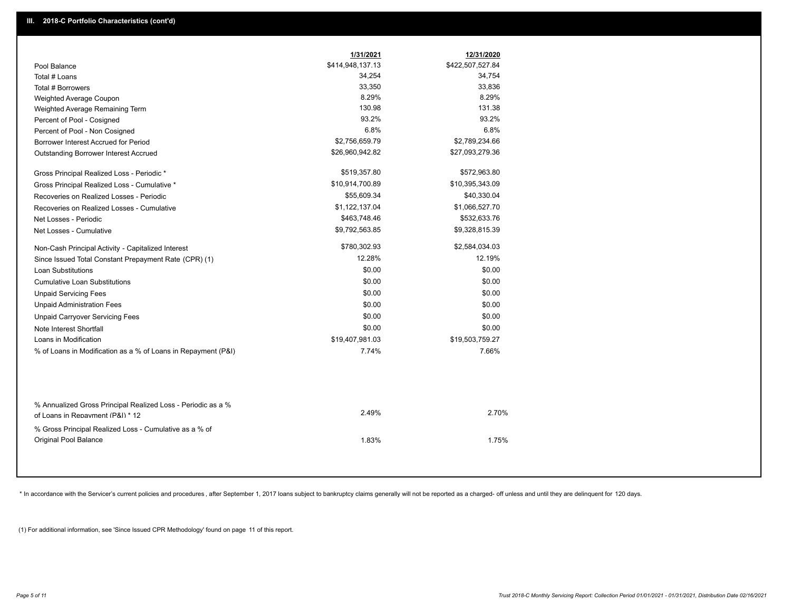|                                                                                                  | 1/31/2021        | 12/31/2020       |
|--------------------------------------------------------------------------------------------------|------------------|------------------|
| Pool Balance                                                                                     | \$414,948,137.13 | \$422,507,527.84 |
| Total # Loans                                                                                    | 34,254           | 34,754           |
| Total # Borrowers                                                                                | 33,350           | 33,836           |
| Weighted Average Coupon                                                                          | 8.29%            | 8.29%            |
| Weighted Average Remaining Term                                                                  | 130.98           | 131.38           |
| Percent of Pool - Cosigned                                                                       | 93.2%            | 93.2%            |
| Percent of Pool - Non Cosigned                                                                   | 6.8%             | 6.8%             |
| Borrower Interest Accrued for Period                                                             | \$2,756,659.79   | \$2,789,234.66   |
| Outstanding Borrower Interest Accrued                                                            | \$26,960,942.82  | \$27,093,279.36  |
| Gross Principal Realized Loss - Periodic *                                                       | \$519,357.80     | \$572,963.80     |
| Gross Principal Realized Loss - Cumulative *                                                     | \$10,914,700.89  | \$10,395,343.09  |
| Recoveries on Realized Losses - Periodic                                                         | \$55,609.34      | \$40,330.04      |
| Recoveries on Realized Losses - Cumulative                                                       | \$1,122,137.04   | \$1,066,527.70   |
| Net Losses - Periodic                                                                            | \$463,748.46     | \$532,633.76     |
| Net Losses - Cumulative                                                                          | \$9,792,563.85   | \$9,328,815.39   |
| Non-Cash Principal Activity - Capitalized Interest                                               | \$780,302.93     | \$2,584,034.03   |
| Since Issued Total Constant Prepayment Rate (CPR) (1)                                            | 12.28%           | 12.19%           |
| Loan Substitutions                                                                               | \$0.00           | \$0.00           |
| <b>Cumulative Loan Substitutions</b>                                                             | \$0.00           | \$0.00           |
| <b>Unpaid Servicing Fees</b>                                                                     | \$0.00           | \$0.00           |
| <b>Unpaid Administration Fees</b>                                                                | \$0.00           | \$0.00           |
| <b>Unpaid Carryover Servicing Fees</b>                                                           | \$0.00           | \$0.00           |
| Note Interest Shortfall                                                                          | \$0.00           | \$0.00           |
| Loans in Modification                                                                            | \$19,407,981.03  | \$19,503,759.27  |
| % of Loans in Modification as a % of Loans in Repayment (P&I)                                    | 7.74%            | 7.66%            |
| % Annualized Gross Principal Realized Loss - Periodic as a %<br>of Loans in Repayment (P&I) * 12 | 2.49%            | 2.70%            |
| % Gross Principal Realized Loss - Cumulative as a % of                                           |                  |                  |
| <b>Original Pool Balance</b>                                                                     | 1.83%            | 1.75%            |

\* In accordance with the Servicer's current policies and procedures, after September 1, 2017 loans subject to bankruptcy claims generally will not be reported as a charged- off unless and until they are delinquent for 120

(1) For additional information, see 'Since Issued CPR Methodology' found on page 11 of this report.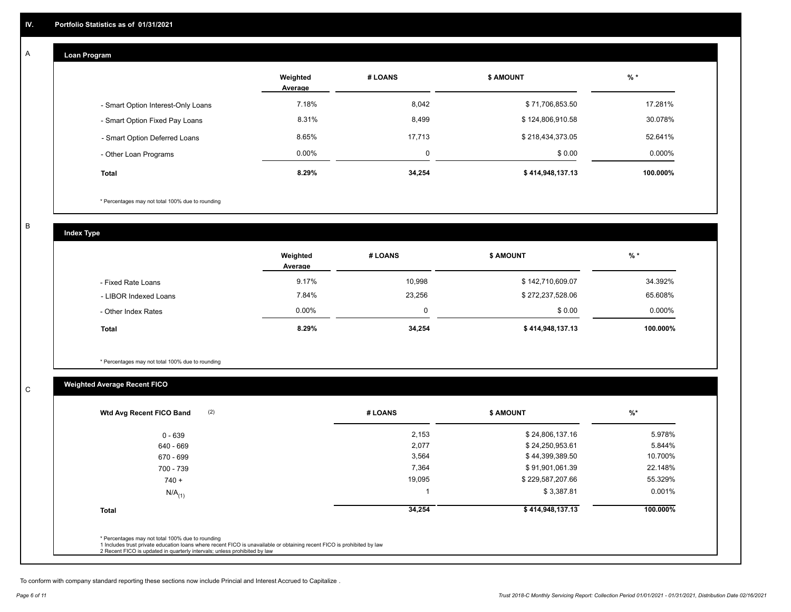#### **Loan Program**

A

|                                    | Weighted<br>Average | # LOANS  | <b>S AMOUNT</b>  | $%$ *     |
|------------------------------------|---------------------|----------|------------------|-----------|
| - Smart Option Interest-Only Loans | 7.18%               | 8,042    | \$71,706,853.50  | 17.281%   |
| - Smart Option Fixed Pay Loans     | 8.31%               | 8,499    | \$124,806,910.58 | 30.078%   |
| - Smart Option Deferred Loans      | 8.65%               | 17.713   | \$218,434,373.05 | 52.641%   |
| - Other Loan Programs              | $0.00\%$            | $\Omega$ | \$0.00           | $0.000\%$ |
| <b>Total</b>                       | 8.29%               | 34,254   | \$414,948,137.13 | 100.000%  |

\* Percentages may not total 100% due to rounding

B

C

**Index Type**

|                       | Weighted<br>Average | # LOANS | <b>S AMOUNT</b>  | $%$ *     |
|-----------------------|---------------------|---------|------------------|-----------|
| - Fixed Rate Loans    | 9.17%               | 10,998  | \$142,710,609.07 | 34.392%   |
| - LIBOR Indexed Loans | 7.84%               | 23,256  | \$272,237,528.06 | 65.608%   |
| - Other Index Rates   | $0.00\%$            | 0       | \$0.00           | $0.000\%$ |
| <b>Total</b>          | 8.29%               | 34,254  | \$414,948,137.13 | 100.000%  |

\* Percentages may not total 100% due to rounding

## **Weighted Average Recent FICO**

|        |                  | $%$ *                      |
|--------|------------------|----------------------------|
| 2,153  | \$24,806,137.16  | 5.978%                     |
| 2,077  | \$24,250,953.61  | 5.844%                     |
| 3,564  | \$44,399,389.50  | 10.700%                    |
| 7,364  | \$91,901,061.39  | 22.148%                    |
| 19,095 | \$229,587,207.66 | 55.329%                    |
|        | \$3,387.81       | 0.001%                     |
| 34,254 | \$414,948,137.13 | 100.000%                   |
|        |                  |                            |
|        |                  | # LOANS<br><b>S AMOUNT</b> |

To conform with company standard reporting these sections now include Princial and Interest Accrued to Capitalize .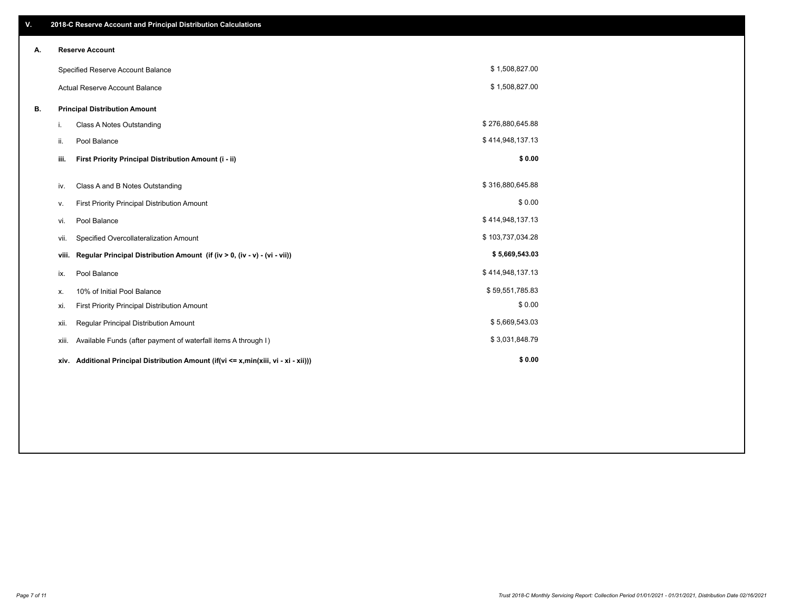| V. |       | 2018-C Reserve Account and Principal Distribution Calculations                       |                  |  |  |  |  |  |
|----|-------|--------------------------------------------------------------------------------------|------------------|--|--|--|--|--|
| А. |       | <b>Reserve Account</b>                                                               |                  |  |  |  |  |  |
|    |       | Specified Reserve Account Balance                                                    | \$1,508,827.00   |  |  |  |  |  |
|    |       | <b>Actual Reserve Account Balance</b>                                                | \$1,508,827.00   |  |  |  |  |  |
| В. |       | <b>Principal Distribution Amount</b>                                                 |                  |  |  |  |  |  |
|    | i.    | Class A Notes Outstanding                                                            | \$276,880,645.88 |  |  |  |  |  |
|    | ii.   | Pool Balance                                                                         | \$414,948,137.13 |  |  |  |  |  |
|    | iii.  | First Priority Principal Distribution Amount (i - ii)                                | \$0.00           |  |  |  |  |  |
|    | iv.   | Class A and B Notes Outstanding                                                      | \$316,880,645.88 |  |  |  |  |  |
|    | ν.    | First Priority Principal Distribution Amount                                         | \$0.00           |  |  |  |  |  |
|    | vi.   | Pool Balance                                                                         | \$414,948,137.13 |  |  |  |  |  |
|    | vii.  | Specified Overcollateralization Amount                                               | \$103,737,034.28 |  |  |  |  |  |
|    | viii. | Regular Principal Distribution Amount (if (iv > 0, (iv - v) - (vi - vii))            | \$5,669,543.03   |  |  |  |  |  |
|    | ix.   | Pool Balance                                                                         | \$414,948,137.13 |  |  |  |  |  |
|    | х.    | 10% of Initial Pool Balance                                                          | \$59,551,785.83  |  |  |  |  |  |
|    | xi.   | First Priority Principal Distribution Amount                                         | \$0.00           |  |  |  |  |  |
|    | xii.  | <b>Regular Principal Distribution Amount</b>                                         | \$5,669,543.03   |  |  |  |  |  |
|    | xiii. | Available Funds (after payment of waterfall items A through I)                       | \$3,031,848.79   |  |  |  |  |  |
|    |       | xiv. Additional Principal Distribution Amount (if(vi <= x,min(xiii, vi - xi - xii))) | \$0.00           |  |  |  |  |  |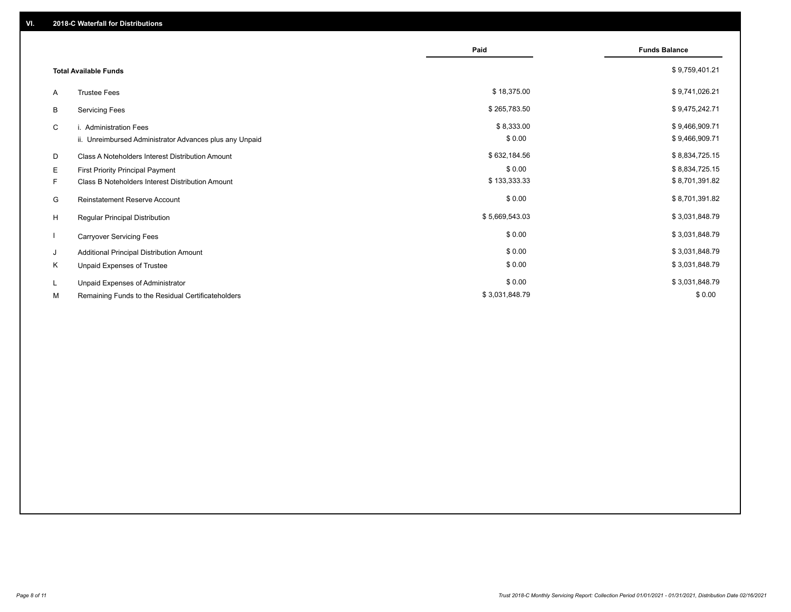|    |                                                         | Paid           | <b>Funds Balance</b> |
|----|---------------------------------------------------------|----------------|----------------------|
|    | <b>Total Available Funds</b>                            |                | \$9,759,401.21       |
| A  | <b>Trustee Fees</b>                                     | \$18,375.00    | \$9,741,026.21       |
| B  | <b>Servicing Fees</b>                                   | \$265,783.50   | \$9,475,242.71       |
| C  | i. Administration Fees                                  | \$8,333.00     | \$9,466,909.71       |
|    | ii. Unreimbursed Administrator Advances plus any Unpaid | \$0.00         | \$9,466,909.71       |
| D  | Class A Noteholders Interest Distribution Amount        | \$632,184.56   | \$8,834,725.15       |
| E  | <b>First Priority Principal Payment</b>                 | \$0.00         | \$8,834,725.15       |
| F. | <b>Class B Noteholders Interest Distribution Amount</b> | \$133,333.33   | \$8,701,391.82       |
| G  | <b>Reinstatement Reserve Account</b>                    | \$0.00         | \$8,701,391.82       |
| H  | Regular Principal Distribution                          | \$5,669,543.03 | \$3,031,848.79       |
|    | <b>Carryover Servicing Fees</b>                         | \$0.00         | \$3,031,848.79       |
| J  | Additional Principal Distribution Amount                | \$0.00         | \$3,031,848.79       |
| Κ  | Unpaid Expenses of Trustee                              | \$0.00         | \$3,031,848.79       |
| L. | Unpaid Expenses of Administrator                        | \$0.00         | \$3,031,848.79       |
| М  | Remaining Funds to the Residual Certificateholders      | \$3,031,848.79 | \$0.00               |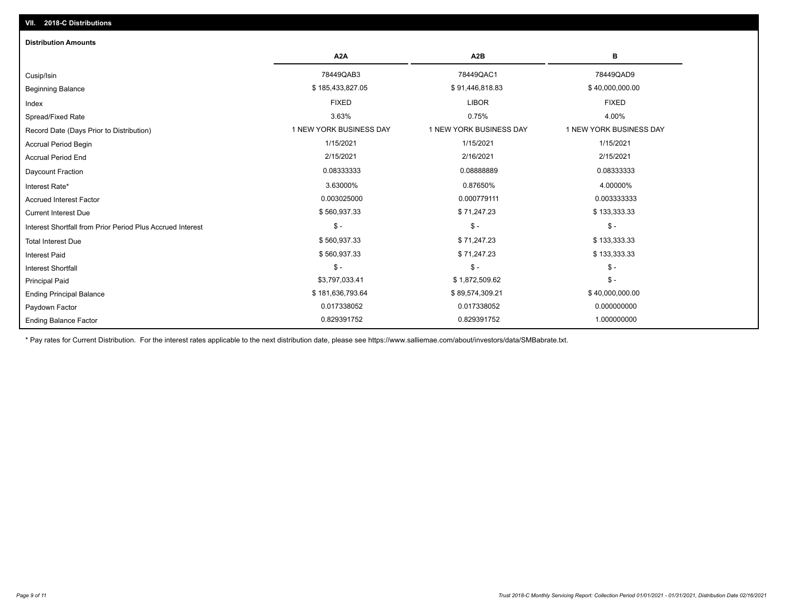| <b>Distribution Amounts</b>                                |                         |                         |                         |
|------------------------------------------------------------|-------------------------|-------------------------|-------------------------|
|                                                            | A <sub>2</sub> A        | A <sub>2</sub> B        | в                       |
| Cusip/Isin                                                 | 78449QAB3               | 78449QAC1               | 78449QAD9               |
| <b>Beginning Balance</b>                                   | \$185,433,827.05        | \$91,446,818.83         | \$40,000,000.00         |
| Index                                                      | <b>FIXED</b>            | <b>LIBOR</b>            | <b>FIXED</b>            |
| Spread/Fixed Rate                                          | 3.63%                   | 0.75%                   | 4.00%                   |
| Record Date (Days Prior to Distribution)                   | 1 NEW YORK BUSINESS DAY | 1 NEW YORK BUSINESS DAY | 1 NEW YORK BUSINESS DAY |
| <b>Accrual Period Begin</b>                                | 1/15/2021               | 1/15/2021               | 1/15/2021               |
| <b>Accrual Period End</b>                                  | 2/15/2021               | 2/16/2021               | 2/15/2021               |
| Daycount Fraction                                          | 0.08333333              | 0.08888889              | 0.08333333              |
| Interest Rate*                                             | 3.63000%                | 0.87650%                | 4.00000%                |
| <b>Accrued Interest Factor</b>                             | 0.003025000             | 0.000779111             | 0.003333333             |
| <b>Current Interest Due</b>                                | \$560,937.33            | \$71,247.23             | \$133,333.33            |
| Interest Shortfall from Prior Period Plus Accrued Interest | $\frac{1}{2}$           | $\mathsf{\$}$ -         | $\mathsf{\$}$ -         |
| <b>Total Interest Due</b>                                  | \$560,937.33            | \$71,247.23             | \$133,333.33            |
| <b>Interest Paid</b>                                       | \$560,937.33            | \$71,247.23             | \$133,333.33            |
| <b>Interest Shortfall</b>                                  | $\mathsf{\$}$ -         | $\mathsf{\$}$ -         | $$ -$                   |
| <b>Principal Paid</b>                                      | \$3,797,033.41          | \$1,872,509.62          | $$ -$                   |
| <b>Ending Principal Balance</b>                            | \$181,636,793.64        | \$89,574,309.21         | \$40,000,000.00         |
| Paydown Factor                                             | 0.017338052             | 0.017338052             | 0.000000000             |
| <b>Ending Balance Factor</b>                               | 0.829391752             | 0.829391752             | 1.000000000             |

\* Pay rates for Current Distribution. For the interest rates applicable to the next distribution date, please see https://www.salliemae.com/about/investors/data/SMBabrate.txt.

**VII. 2018-C Distributions**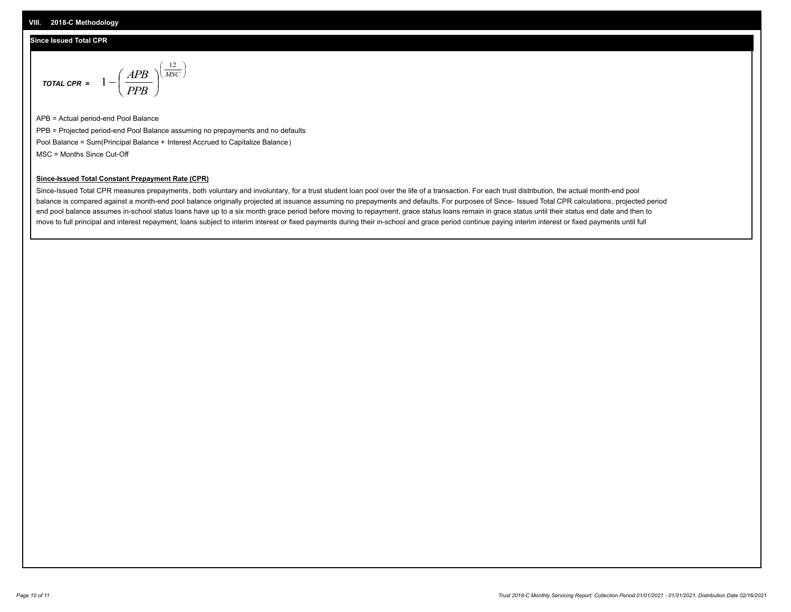#### **Since Issued Total CPR**

$$
\text{total CPR} = 1 - \left(\frac{APB}{PPB}\right)^{\left(\frac{12}{MSC}\right)}
$$

APB = Actual period-end Pool Balance PPB = Projected period-end Pool Balance assuming no prepayments and no defaults Pool Balance = Sum(Principal Balance + Interest Accrued to Capitalize Balance) MSC = Months Since Cut-Off

 $\mathsf{I}$ J λ

#### **Since-Issued Total Constant Prepayment Rate (CPR)**

Since-Issued Total CPR measures prepayments, both voluntary and involuntary, for a trust student loan pool over the life of a transaction. For each trust distribution, the actual month-end pool balance is compared against a month-end pool balance originally projected at issuance assuming no prepayments and defaults. For purposes of Since- Issued Total CPR calculations, projected period end pool balance assumes in-school status loans have up to a six month grace period before moving to repayment, grace status loans remain in grace status until their status end date and then to move to full principal and interest repayment, loans subject to interim interest or fixed payments during their in-school and grace period continue paying interim interest or fixed payments until full